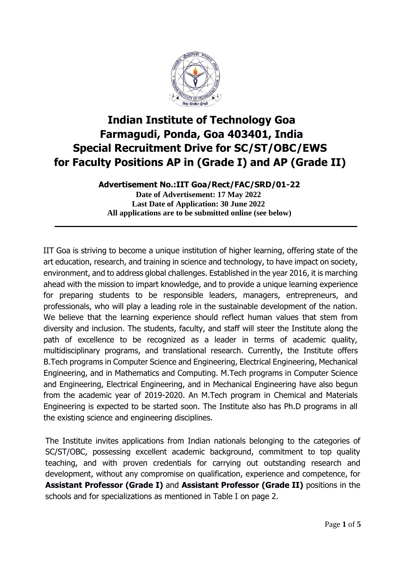

# **Indian Institute of Technology Goa Farmagudi, Ponda, Goa 403401, India Special Recruitment Drive for SC/ST/OBC/EWS for Faculty Positions AP in (Grade I) and AP (Grade II)**

**Advertisement No.:IIT Goa/Rect/FAC/SRD/01-22 Date of Advertisement: 17 May 2022 Last Date of Application: 30 June 2022 All applications are to be submitted online (see below)**

IIT Goa is striving to become a unique institution of higher learning, offering state of the art education, research, and training in science and technology, to have impact on society, environment, and to address global challenges. Established in the year 2016, it is marching ahead with the mission to impart knowledge, and to provide a unique learning experience for preparing students to be responsible leaders, managers, entrepreneurs, and professionals, who will play a leading role in the sustainable development of the nation. We believe that the learning experience should reflect human values that stem from diversity and inclusion. The students, faculty, and staff will steer the Institute along the path of excellence to be recognized as a leader in terms of academic quality, multidisciplinary programs, and translational research. Currently, the Institute offers B.Tech programs in Computer Science and Engineering, Electrical Engineering, Mechanical Engineering, and in Mathematics and Computing. M.Tech programs in Computer Science and Engineering, Electrical Engineering, and in Mechanical Engineering have also begun from the academic year of 2019-2020. An M.Tech program in Chemical and Materials Engineering is expected to be started soon. The Institute also has Ph.D programs in all the existing science and engineering disciplines.

The Institute invites applications from Indian nationals belonging to the categories of SC/ST/OBC, possessing excellent academic background, commitment to top quality teaching, and with proven credentials for carrying out outstanding research and development, without any compromise on qualification, experience and competence, for **Assistant Professor (Grade I)** and **Assistant Professor (Grade II)** positions in the schools and for specializations as mentioned in Table I on page 2.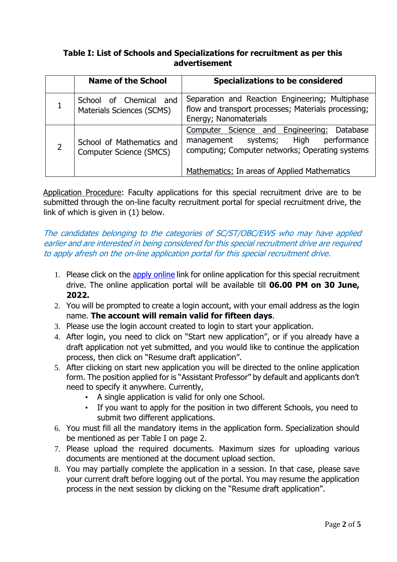### **Table I: List of Schools and Specializations for recruitment as per this advertisement**

| <b>Name of the School</b>                            | <b>Specializations to be considered</b>                                                                                                        |
|------------------------------------------------------|------------------------------------------------------------------------------------------------------------------------------------------------|
| School of Chemical and<br>Materials Sciences (SCMS)  | Separation and Reaction Engineering; Multiphase<br>flow and transport processes; Materials processing;<br>Energy; Nanomaterials                |
| School of Mathematics and<br>Computer Science (SMCS) | Computer Science and Engineering:<br>Database<br>systems; High<br>performance<br>management<br>computing; Computer networks; Operating systems |
|                                                      | Mathematics: In areas of Applied Mathematics                                                                                                   |

Application Procedure: Faculty applications for this special recruitment drive are to be submitted through the on-line faculty recruitment portal for special recruitment drive, the link of which is given in (1) below.

### The candidates belonging to the categories of SC/ST/OBC/EWS who may have applied earlier and are interested in being considered for this special recruitment drive are required to apply afresh on the on-line application portal for this special recruitment drive.

- 1. Please click on the apply online link for online application for this special recruitment drive. The online application portal will be available till **06.00 PM on 30 June, 2022.**
- 2. You will be prompted to create a login account, with your email address as the login name. **The account will remain valid for fifteen days**.
- 3. Please use the login account created to login to start your application.
- 4. After login, you need to click on "Start new application", or if you already have a draft application not yet submitted, and you would like to continue the application process, then click on "Resume draft application".
- 5. After clicking on start new application you will be directed to the online application form. The position applied for is "Assistant Professor" by default and applicants don't need to specify it anywhere. Currently,
	- A single application is valid for only one School.
	- If you want to apply for the position in two different Schools, you need to submit two different applications.
- 6. You must fill all the mandatory items in the application form. Specialization should be mentioned as per Table I on page 2.
- 7. Please upload the required documents. Maximum sizes for uploading various documents are mentioned at the document upload section.
- 8. You may partially complete the application in a session. In that case, please save your current draft before logging out of the portal. You may resume the application process in the next session by clicking on the "Resume draft application".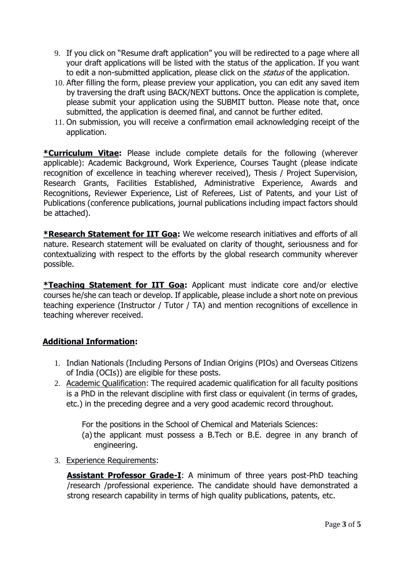- 9. If you click on "Resume draft application" you will be redirected to a page where all your draft applications will be listed with the status of the application. If you want to edit a non-submitted application, please click on the *status* of the application.
- 10. After filling the form, please preview your application, you can edit any saved item by traversing the draft using BACK/NEXT buttons. Once the application is complete, please submit your application using the SUBMIT button. Please note that, once submitted, the application is deemed final, and cannot be further edited.
- 11. On submission, you will receive a confirmation email acknowledging receipt of the application.

**\*Curriculum Vitae:** Please include complete details for the following (wherever applicable): Academic Background, Work Experience, Courses Taught (please indicate recognition of excellence in teaching wherever received), Thesis / Project Supervision, Research Grants, Facilities Established, Administrative Experience, Awards and Recognitions, Reviewer Experience, List of Referees, List of Patents, and your List of Publications (conference publications, journal publications including impact factors should be attached).

**\*Research Statement for IIT Goa:** We welcome research initiatives and efforts of all nature. Research statement will be evaluated on clarity of thought, seriousness and for contextualizing with respect to the efforts by the global research community wherever possible.

**\*Teaching Statement for IIT Goa:** Applicant must indicate core and/or elective courses he/she can teach or develop. If applicable, please include a short note on previous teaching experience (Instructor / Tutor / TA) and mention recognitions of excellence in teaching wherever received.

## **Additional Information:**

- 1. Indian Nationals (Including Persons of Indian Origins (PIOs) and Overseas Citizens of India (OCIs)) are eligible for these posts.
- 2. Academic Qualification: The required academic qualification for all faculty positions is a PhD in the relevant discipline with first class or equivalent (in terms of grades, etc.) in the preceding degree and a very good academic record throughout.

For the positions in the School of Chemical and Materials Sciences:

- (a) the applicant must possess a B.Tech or B.E. degree in any branch of engineering.
- 3. Experience Requirements:

**Assistant Professor Grade-I:** A minimum of three years post-PhD teaching /research /professional experience. The candidate should have demonstrated a strong research capability in terms of high quality publications, patents, etc.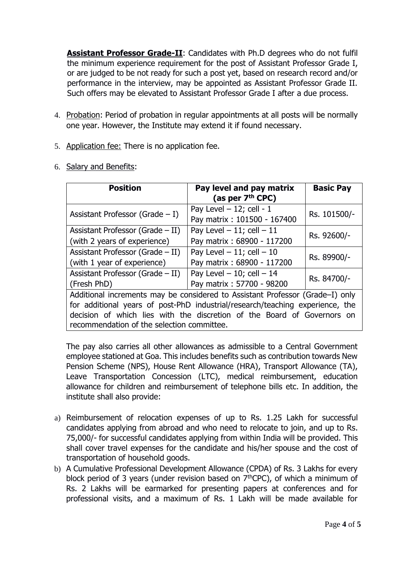**Assistant Professor Grade-II:** Candidates with Ph.D degrees who do not fulfil the minimum experience requirement for the post of Assistant Professor Grade I, or are judged to be not ready for such a post yet, based on research record and/or performance in the interview, may be appointed as Assistant Professor Grade II. Such offers may be elevated to Assistant Professor Grade I after a due process.

- 4. Probation: Period of probation in regular appointments at all posts will be normally one year. However, the Institute may extend it if found necessary.
- 5. Application fee: There is no application fee.

|  | 6. Salary and Benefits: |
|--|-------------------------|
|  |                         |

| <b>Position</b>                                                               | Pay level and pay matrix<br>(as per $7th$ CPC)            | <b>Basic Pay</b> |  |  |  |
|-------------------------------------------------------------------------------|-----------------------------------------------------------|------------------|--|--|--|
| Assistant Professor (Grade $- I$ )                                            | Pay Level $-12$ ; cell - 1<br>Pay matrix: 101500 - 167400 | Rs. 101500/-     |  |  |  |
| Assistant Professor (Grade $-$ II)                                            | Pay Level $-11$ ; cell $-11$                              | Rs. 92600/-      |  |  |  |
| (with 2 years of experience)                                                  | Pay matrix: 68900 - 117200                                |                  |  |  |  |
| Assistant Professor (Grade $-$ II)                                            | Rs. 89900/-                                               |                  |  |  |  |
| (with 1 year of experience)                                                   | Pay matrix: 68900 - 117200                                |                  |  |  |  |
| Assistant Professor (Grade $-$ II)                                            | Pay Level $-10$ ; cell $-14$                              | Rs. 84700/-      |  |  |  |
| (Fresh PhD)                                                                   | Pay matrix: 57700 - 98200                                 |                  |  |  |  |
| Additional increments may be considered to Assistant Professor (Grade-I) only |                                                           |                  |  |  |  |
| for additional years of post-PhD industrial/research/teaching experience, the |                                                           |                  |  |  |  |
| decision of which lies with the discretion of the Board of Governors on       |                                                           |                  |  |  |  |
| recommendation of the selection committee.                                    |                                                           |                  |  |  |  |

The pay also carries all other allowances as admissible to a Central Government employee stationed at Goa. This includes benefits such as contribution towards New Pension Scheme (NPS), House Rent Allowance (HRA), Transport Allowance (TA), Leave Transportation Concession (LTC), medical reimbursement, education allowance for children and reimbursement of telephone bills etc. In addition, the institute shall also provide:

- a) Reimbursement of relocation expenses of up to Rs. 1.25 Lakh for successful candidates applying from abroad and who need to relocate to join, and up to Rs. 75,000/- for successful candidates applying from within India will be provided. This shall cover travel expenses for the candidate and his/her spouse and the cost of transportation of household goods.
- b) A Cumulative Professional Development Allowance (CPDA) of Rs. 3 Lakhs for every block period of 3 years (under revision based on  $7<sup>th</sup>$ CPC), of which a minimum of Rs. 2 Lakhs will be earmarked for presenting papers at conferences and for professional visits, and a maximum of Rs. 1 Lakh will be made available for